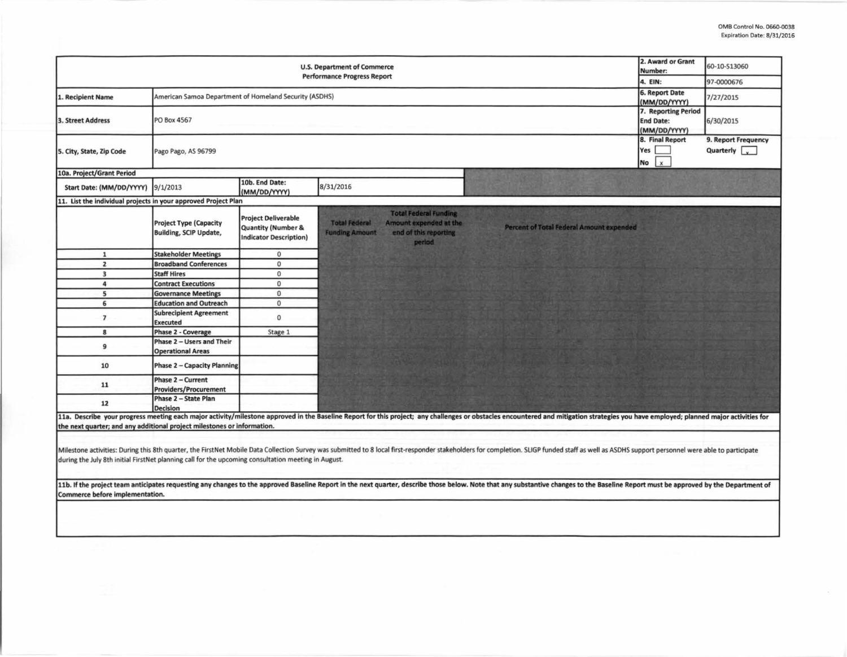| 2. Award or Grant<br><b>U.S. Department of Commerce</b><br>Number:<br><b>Performance Progress Report</b>                               |                                                                |                                                                                              |                                                                                                                                                                                                                                                                                                                                                                                                                                                                  |                                                                         | 60-10-S13060                                |
|----------------------------------------------------------------------------------------------------------------------------------------|----------------------------------------------------------------|----------------------------------------------------------------------------------------------|------------------------------------------------------------------------------------------------------------------------------------------------------------------------------------------------------------------------------------------------------------------------------------------------------------------------------------------------------------------------------------------------------------------------------------------------------------------|-------------------------------------------------------------------------|---------------------------------------------|
|                                                                                                                                        | 4. EIN:<br>6. Report Date                                      | 97-0000676                                                                                   |                                                                                                                                                                                                                                                                                                                                                                                                                                                                  |                                                                         |                                             |
| 1. Recipient Name                                                                                                                      | American Samoa Department of Homeland Security (ASDHS)         |                                                                                              |                                                                                                                                                                                                                                                                                                                                                                                                                                                                  |                                                                         | 7/27/2015                                   |
| <b>3. Street Address</b>                                                                                                               | PO Box 4567                                                    |                                                                                              |                                                                                                                                                                                                                                                                                                                                                                                                                                                                  | (MM/DD/YYYY)<br>7. Reporting Period<br><b>End Date:</b><br>(MM/DD/YYYY) | 6/30/2015                                   |
| 5. City, State, Zip Code                                                                                                               | Pago Pago, AS 96799                                            |                                                                                              |                                                                                                                                                                                                                                                                                                                                                                                                                                                                  | 8. Final Report<br>Yes<br>$\mathbf{x}$<br><b>No</b>                     | 9. Report Frequency<br>Quarterly $\sqrt{ }$ |
| 10a. Project/Grant Period                                                                                                              |                                                                |                                                                                              |                                                                                                                                                                                                                                                                                                                                                                                                                                                                  |                                                                         |                                             |
| Start Date: (MM/DD/YYYY)                                                                                                               | 9/1/2013                                                       | 10b. End Date:<br>(MM/DD/YYYY)                                                               | 8/31/2016                                                                                                                                                                                                                                                                                                                                                                                                                                                        |                                                                         |                                             |
| 11. List the individual projects in your approved Project Plan                                                                         |                                                                |                                                                                              |                                                                                                                                                                                                                                                                                                                                                                                                                                                                  |                                                                         |                                             |
|                                                                                                                                        | <b>Project Type (Capacity</b><br><b>Building, SCIP Update,</b> | <b>Project Deliverable</b><br><b>Quantity (Number &amp;</b><br><b>Indicator Description)</b> | <b>Total Federal Funding</b><br><b>Total Federal</b><br>Amount expended at the<br>Percent of Total Federal Amount expended<br>end of this reporting<br><b>Funding Amount</b><br>period                                                                                                                                                                                                                                                                           |                                                                         |                                             |
| $\mathbf{1}$                                                                                                                           | <b>Stakeholder Meetings</b>                                    | $\mathbf{0}$                                                                                 |                                                                                                                                                                                                                                                                                                                                                                                                                                                                  |                                                                         |                                             |
| $\overline{2}$                                                                                                                         | <b>Broadband Conferences</b>                                   | $\mathbf{0}$                                                                                 |                                                                                                                                                                                                                                                                                                                                                                                                                                                                  |                                                                         |                                             |
| $\overline{\mathbf{3}}$                                                                                                                | <b>Staff Hires</b>                                             | $\mathsf{O}\xspace$                                                                          |                                                                                                                                                                                                                                                                                                                                                                                                                                                                  |                                                                         |                                             |
| $\overline{a}$                                                                                                                         | <b>Contract Executions</b>                                     | $\mathbf{0}$                                                                                 |                                                                                                                                                                                                                                                                                                                                                                                                                                                                  |                                                                         |                                             |
| 5                                                                                                                                      | <b>Governance Meetings</b>                                     | $\Omega$                                                                                     |                                                                                                                                                                                                                                                                                                                                                                                                                                                                  |                                                                         |                                             |
| 6                                                                                                                                      | <b>Education and Outreach</b>                                  | $\mathbf{0}$                                                                                 |                                                                                                                                                                                                                                                                                                                                                                                                                                                                  |                                                                         |                                             |
| $\overline{7}$                                                                                                                         | <b>Subrecipient Agreement</b><br><b>Executed</b>               | $\mathbf 0$                                                                                  |                                                                                                                                                                                                                                                                                                                                                                                                                                                                  |                                                                         |                                             |
| 8                                                                                                                                      | Phase 2 - Coverage                                             | Stage 1                                                                                      |                                                                                                                                                                                                                                                                                                                                                                                                                                                                  |                                                                         |                                             |
| 9                                                                                                                                      | Phase 2 - Users and Their<br><b>Operational Areas</b>          |                                                                                              |                                                                                                                                                                                                                                                                                                                                                                                                                                                                  |                                                                         |                                             |
| 10                                                                                                                                     | <b>Phase 2 - Capacity Planning</b>                             |                                                                                              |                                                                                                                                                                                                                                                                                                                                                                                                                                                                  |                                                                         |                                             |
| 11                                                                                                                                     | Phase 2 - Current<br><b>Providers/Procurement</b>              |                                                                                              |                                                                                                                                                                                                                                                                                                                                                                                                                                                                  |                                                                         |                                             |
| 12                                                                                                                                     | Phase 2 - State Plan<br><b>Decision</b>                        |                                                                                              |                                                                                                                                                                                                                                                                                                                                                                                                                                                                  |                                                                         |                                             |
| the next quarter; and any additional project milestones or information.                                                                |                                                                |                                                                                              | 11a. Describe your progress meeting each major activity/milestone approved in the Baseline Report for this project; any challenges or obstacles encountered and mitigation strategies you have employed; planned major activit                                                                                                                                                                                                                                   |                                                                         |                                             |
| during the July 8th initial FirstNet planning call for the upcoming consultation meeting in August.<br>Commerce before implementation. |                                                                |                                                                                              | Milestone activities: During this 8th quarter, the FirstNet Mobile Data Collection Survey was submitted to 8 local first-responder stakeholders for completion. SLIGP funded staff as well as ASDHS support personnel were abl<br>11b. If the project team anticipates requesting any changes to the approved Baseline Report in the next quarter, describe those below. Note that any substantive changes to the Baseline Report must be approved by the Depart |                                                                         |                                             |
|                                                                                                                                        |                                                                |                                                                                              |                                                                                                                                                                                                                                                                                                                                                                                                                                                                  |                                                                         |                                             |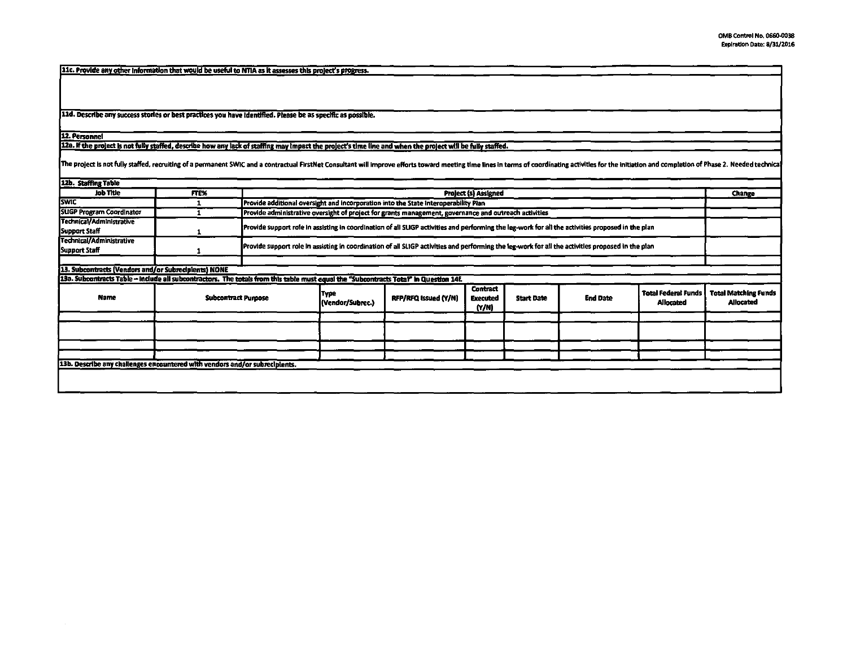11c. Provide any other information that would be useful to NTIA as it assesses this project's progress.

11d. Describe any success stories or best practices you have identified. Please be as specific as possible.

12. Personnel

12a. If the project is not fully staffed, describe how any lack of staffing may impact the project's time line and when the project will be fully staffed.

The project is not fully staffed, recruiting of a permanent SWIC and a contractual FirstNet Consultant will improve efforts toward meeting time lines in terms of coordinating activities for the initiation and completion of

| FTE%                                                 |  |                                                                             |                      |                                      |                                                                                                                                                                                                                              |                                                                                                                                      |                                                |                                                                                                                                                                                                                                                                                                       |
|------------------------------------------------------|--|-----------------------------------------------------------------------------|----------------------|--------------------------------------|------------------------------------------------------------------------------------------------------------------------------------------------------------------------------------------------------------------------------|--------------------------------------------------------------------------------------------------------------------------------------|------------------------------------------------|-------------------------------------------------------------------------------------------------------------------------------------------------------------------------------------------------------------------------------------------------------------------------------------------------------|
|                                                      |  |                                                                             |                      |                                      |                                                                                                                                                                                                                              |                                                                                                                                      |                                                | Change                                                                                                                                                                                                                                                                                                |
|                                                      |  |                                                                             |                      |                                      |                                                                                                                                                                                                                              |                                                                                                                                      |                                                |                                                                                                                                                                                                                                                                                                       |
|                                                      |  |                                                                             |                      |                                      |                                                                                                                                                                                                                              |                                                                                                                                      |                                                |                                                                                                                                                                                                                                                                                                       |
|                                                      |  |                                                                             |                      |                                      |                                                                                                                                                                                                                              |                                                                                                                                      |                                                |                                                                                                                                                                                                                                                                                                       |
|                                                      |  |                                                                             |                      |                                      |                                                                                                                                                                                                                              |                                                                                                                                      |                                                |                                                                                                                                                                                                                                                                                                       |
| 13. Subcontracts (Vendors and/or Subrecipients) NONE |  |                                                                             |                      |                                      |                                                                                                                                                                                                                              |                                                                                                                                      |                                                |                                                                                                                                                                                                                                                                                                       |
|                                                      |  |                                                                             |                      |                                      |                                                                                                                                                                                                                              |                                                                                                                                      |                                                |                                                                                                                                                                                                                                                                                                       |
| <b>Subcontract Purpose</b>                           |  | <b>Type</b><br>(Vendor/Subrec.)                                             | RFP/RFQ Issued (Y/N) | <b>Contract</b><br>Executed<br>(Y/N) | <b>Start Date</b>                                                                                                                                                                                                            | <b>End Date</b>                                                                                                                      | <b>Total Federal Funds</b><br><b>Allocated</b> | <b>Total Matching Funds</b><br><b>Allocated</b>                                                                                                                                                                                                                                                       |
|                                                      |  |                                                                             |                      |                                      |                                                                                                                                                                                                                              |                                                                                                                                      |                                                |                                                                                                                                                                                                                                                                                                       |
|                                                      |  |                                                                             |                      |                                      |                                                                                                                                                                                                                              |                                                                                                                                      |                                                |                                                                                                                                                                                                                                                                                                       |
|                                                      |  |                                                                             |                      |                                      |                                                                                                                                                                                                                              |                                                                                                                                      |                                                |                                                                                                                                                                                                                                                                                                       |
|                                                      |  |                                                                             |                      |                                      |                                                                                                                                                                                                                              |                                                                                                                                      |                                                |                                                                                                                                                                                                                                                                                                       |
|                                                      |  |                                                                             |                      |                                      |                                                                                                                                                                                                                              |                                                                                                                                      |                                                |                                                                                                                                                                                                                                                                                                       |
|                                                      |  |                                                                             |                      |                                      |                                                                                                                                                                                                                              |                                                                                                                                      |                                                |                                                                                                                                                                                                                                                                                                       |
|                                                      |  | 13b. Describe any challenges encountered with vendors and/or subrecipients. |                      |                                      | Provide additional oversight and incorporation into the State Interoperability Plan<br>13a. Subcontracts Table - include all subcontractors. The totals from this table must equal the "Subcontracts Total" in Question 14f. | <b>Project (s) Assigned</b><br>Provide administrative oversight of project for grants management, governance and outreach activities |                                                | Provide support role in assisting in coordination of all SUGP activities and performing the leg-work for all the activities proposed in the plan<br>Provide support role in assisting in coordination of all SLIGP activities and performing the leg-work for all the activities proposed in the plan |